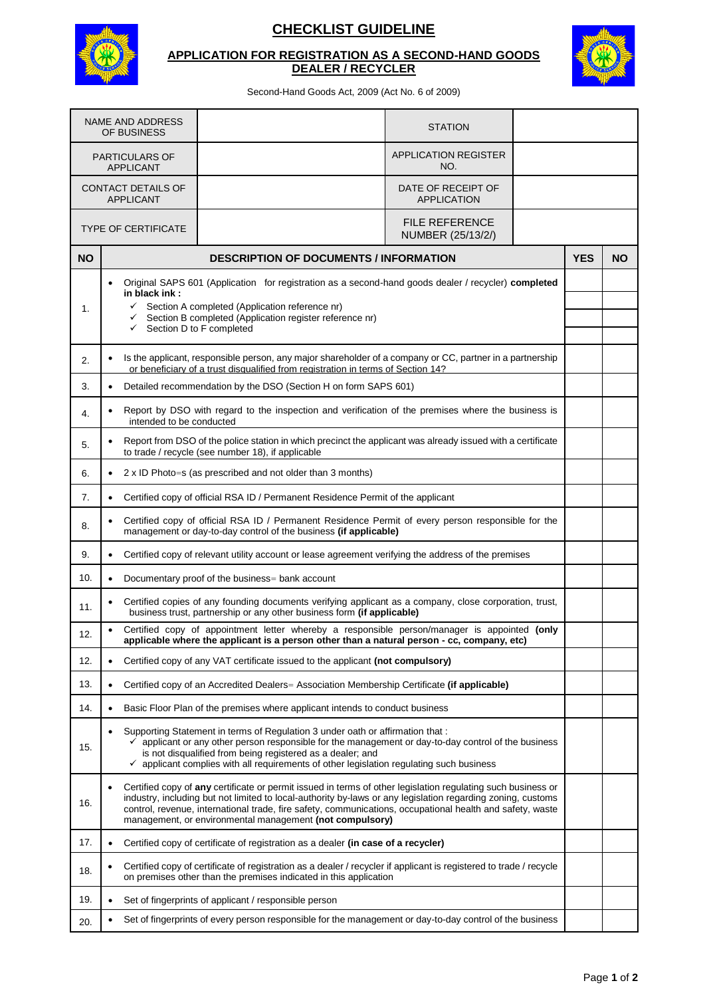

## **CHECKLIST GUIDELINE**

## **APPLICATION FOR REGISTRATION AS A SECOND-HAND GOODS DEALER / RECYCLER**



Second-Hand Goods Act, 2009 (Act No. 6 of 2009)

| <b>NAME AND ADDRESS</b><br>OF BUSINESS    |                                                                                                                                                                                                                                                                                                                                                                                                                   |                                                                                   |                                                                 | <b>STATION</b>                           |  |            |           |
|-------------------------------------------|-------------------------------------------------------------------------------------------------------------------------------------------------------------------------------------------------------------------------------------------------------------------------------------------------------------------------------------------------------------------------------------------------------------------|-----------------------------------------------------------------------------------|-----------------------------------------------------------------|------------------------------------------|--|------------|-----------|
| <b>PARTICULARS OF</b><br><b>APPLICANT</b> |                                                                                                                                                                                                                                                                                                                                                                                                                   |                                                                                   |                                                                 | <b>APPLICATION REGISTER</b><br>NO.       |  |            |           |
| CONTACT DETAILS OF<br><b>APPLICANT</b>    |                                                                                                                                                                                                                                                                                                                                                                                                                   |                                                                                   |                                                                 | DATE OF RECEIPT OF<br><b>APPLICATION</b> |  |            |           |
| <b>TYPE OF CERTIFICATE</b>                |                                                                                                                                                                                                                                                                                                                                                                                                                   |                                                                                   | <b>FILE REFERENCE</b><br>NUMBER (25/13/2/)                      |                                          |  |            |           |
| <b>NO</b>                                 | <b>DESCRIPTION OF DOCUMENTS / INFORMATION</b>                                                                                                                                                                                                                                                                                                                                                                     |                                                                                   |                                                                 |                                          |  | <b>YES</b> | <b>NO</b> |
|                                           | Original SAPS 601 (Application for registration as a second-hand goods dealer / recycler) completed<br>$\bullet$                                                                                                                                                                                                                                                                                                  |                                                                                   |                                                                 |                                          |  |            |           |
| 1.                                        | in black ink:<br>Section A completed (Application reference nr)<br>$\checkmark$<br>Section B completed (Application register reference nr)<br>✓<br>Section D to F completed<br>✓                                                                                                                                                                                                                                  |                                                                                   |                                                                 |                                          |  |            |           |
| 2.                                        | Is the applicant, responsible person, any major shareholder of a company or CC, partner in a partnership<br>$\bullet$<br>or beneficiary of a trust disqualified from registration in terms of Section 14?                                                                                                                                                                                                         |                                                                                   |                                                                 |                                          |  |            |           |
| 3.                                        |                                                                                                                                                                                                                                                                                                                                                                                                                   |                                                                                   | Detailed recommendation by the DSO (Section H on form SAPS 601) |                                          |  |            |           |
| 4.                                        | Report by DSO with regard to the inspection and verification of the premises where the business is<br>$\bullet$<br>intended to be conducted                                                                                                                                                                                                                                                                       |                                                                                   |                                                                 |                                          |  |            |           |
| 5.                                        | Report from DSO of the police station in which precinct the applicant was already issued with a certificate<br>$\bullet$<br>to trade / recycle (see number 18), if applicable                                                                                                                                                                                                                                     |                                                                                   |                                                                 |                                          |  |            |           |
| 6.                                        | 2 x ID Photo=s (as prescribed and not older than 3 months)                                                                                                                                                                                                                                                                                                                                                        |                                                                                   |                                                                 |                                          |  |            |           |
| 7.                                        | Certified copy of official RSA ID / Permanent Residence Permit of the applicant<br>$\bullet$                                                                                                                                                                                                                                                                                                                      |                                                                                   |                                                                 |                                          |  |            |           |
| 8.                                        | Certified copy of official RSA ID / Permanent Residence Permit of every person responsible for the<br>$\bullet$<br>management or day-to-day control of the business (if applicable)                                                                                                                                                                                                                               |                                                                                   |                                                                 |                                          |  |            |           |
| 9.                                        | Certified copy of relevant utility account or lease agreement verifying the address of the premises<br>$\bullet$                                                                                                                                                                                                                                                                                                  |                                                                                   |                                                                 |                                          |  |            |           |
| 10.                                       | Documentary proof of the business= bank account<br>$\bullet$                                                                                                                                                                                                                                                                                                                                                      |                                                                                   |                                                                 |                                          |  |            |           |
| 11.                                       | Certified copies of any founding documents verifying applicant as a company, close corporation, trust,<br>$\bullet$<br>business trust, partnership or any other business form (if applicable)                                                                                                                                                                                                                     |                                                                                   |                                                                 |                                          |  |            |           |
| 12.                                       | Certified copy of appointment letter whereby a responsible person/manager is appointed (only<br>$\bullet$<br>applicable where the applicant is a person other than a natural person - cc, company, etc)                                                                                                                                                                                                           |                                                                                   |                                                                 |                                          |  |            |           |
| 12.                                       | Certified copy of any VAT certificate issued to the applicant (not compulsory)<br>$\bullet$                                                                                                                                                                                                                                                                                                                       |                                                                                   |                                                                 |                                          |  |            |           |
| 13.                                       | Certified copy of an Accredited Dealers= Association Membership Certificate (if applicable)<br>$\bullet$                                                                                                                                                                                                                                                                                                          |                                                                                   |                                                                 |                                          |  |            |           |
| 14.                                       | Basic Floor Plan of the premises where applicant intends to conduct business<br>٠                                                                                                                                                                                                                                                                                                                                 |                                                                                   |                                                                 |                                          |  |            |           |
| 15.                                       | Supporting Statement in terms of Regulation 3 under oath or affirmation that:<br>$\bullet$<br>$\checkmark$ applicant or any other person responsible for the management or day-to-day control of the business<br>is not disqualified from being registered as a dealer; and<br>$\checkmark$ applicant complies with all requirements of other legislation regulating such business                                |                                                                                   |                                                                 |                                          |  |            |           |
| 16.                                       | Certified copy of any certificate or permit issued in terms of other legislation regulating such business or<br>$\bullet$<br>industry, including but not limited to local-authority by-laws or any legislation regarding zoning, customs<br>control, revenue, international trade, fire safety, communications, occupational health and safety, waste<br>management, or environmental management (not compulsory) |                                                                                   |                                                                 |                                          |  |            |           |
| 17.                                       | ٠                                                                                                                                                                                                                                                                                                                                                                                                                 | Certified copy of certificate of registration as a dealer (in case of a recycler) |                                                                 |                                          |  |            |           |
| 18.                                       | Certified copy of certificate of registration as a dealer / recycler if applicant is registered to trade / recycle<br>$\bullet$<br>on premises other than the premises indicated in this application                                                                                                                                                                                                              |                                                                                   |                                                                 |                                          |  |            |           |
| 19.                                       | Set of fingerprints of applicant / responsible person<br>٠                                                                                                                                                                                                                                                                                                                                                        |                                                                                   |                                                                 |                                          |  |            |           |
| 20.                                       | Set of fingerprints of every person responsible for the management or day-to-day control of the business<br>٠                                                                                                                                                                                                                                                                                                     |                                                                                   |                                                                 |                                          |  |            |           |